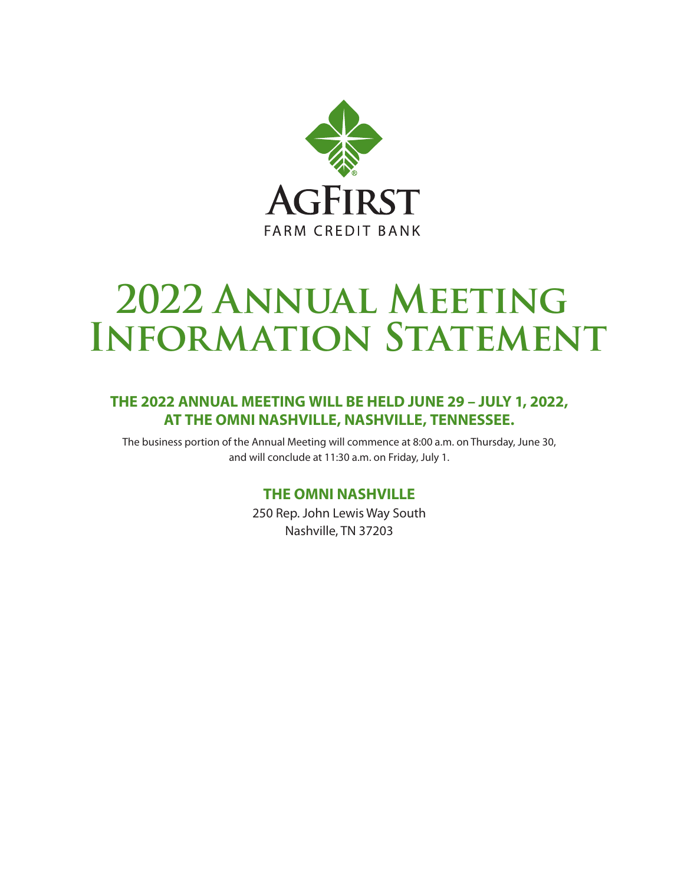

# **2022 Annual Meeting INFORMATION STATEMENT**

# **THE 2022 ANNUAL MEETING WILL BE HELD JUNE 29 – JULY 1, 2022, AT THE OMNI NASHVILLE, NASHVILLE, TENNESSEE.**

The business portion of the Annual Meeting will commence at 8:00 a.m. on Thursday, June 30, and will conclude at 11:30 a.m. on Friday, July 1.

# **THE OMNI NASHVILLE**

250 Rep. John Lewis Way South Nashville, TN 37203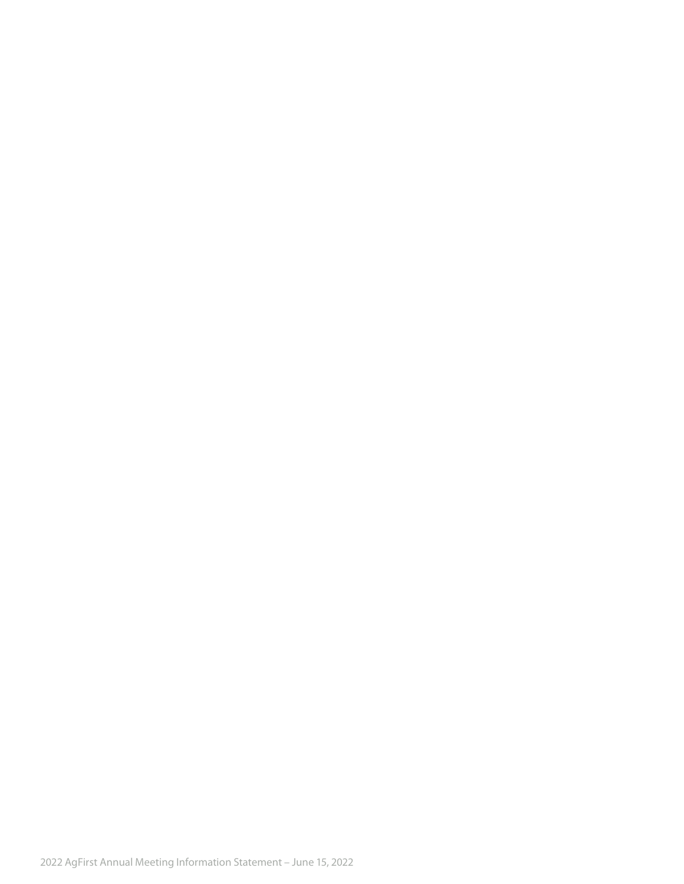2022 AgFirst Annual Meeting Information Statement – June 15, 2022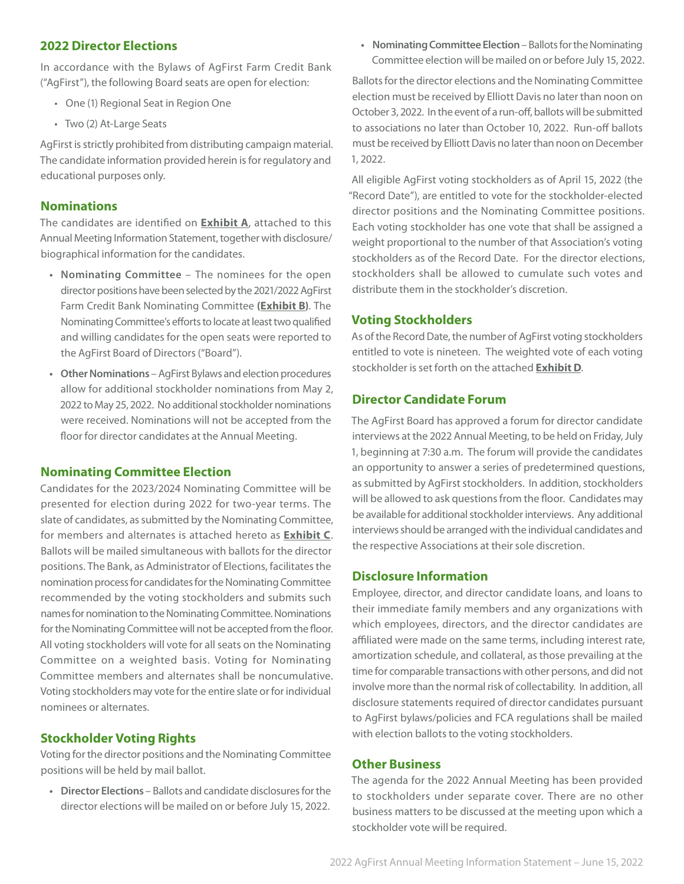### **2022 Director Elections**

In accordance with the Bylaws of AgFirst Farm Credit Bank ("AgFirst"), the following Board seats are open for election:

- One (1) Regional Seat in Region One
- Two (2) At-Large Seats

AgFirst is strictly prohibited from distributing campaign material. The candidate information provided herein is for regulatory and educational purposes only.

### **Nominations**

The candidates are identifed on **Exhibit A**, attached to this Annual Meeting Information Statement, together with disclosure/ biographical information for the candidates.

- **Nominating Committee** The nominees for the open director positions have been selected by the 2021/2022 AgFirst Farm Credit Bank Nominating Committee **(Exhibit B)**. The Nominating Committee's efforts to locate at least two qualified and willing candidates for the open seats were reported to the AgFirst Board of Directors ("Board").
- **Other Nominations** AgFirst Bylaws and election procedures allow for additional stockholder nominations from May 2, 2022 to May 25, 2022. No additional stockholder nominations were received. Nominations will not be accepted from the floor for director candidates at the Annual Meeting.

### **Nominating Committee Election**

 recommended by the voting stockholders and submits such nominees or alternates. Candidates for the 2023/2024 Nominating Committee will be presented for election during 2022 for two-year terms. The slate of candidates, as submitted by the Nominating Committee, for members and alternates is attached hereto as **Exhibit C**. Ballots will be mailed simultaneous with ballots for the director positions. The Bank, as Administrator of Elections, facilitates the nomination process for candidates for the Nominating Committee names for nomination to the Nominating Committee. Nominations for the Nominating Committee will not be accepted from the floor. All voting stockholders will vote for all seats on the Nominating Committee on a weighted basis. Voting for Nominating Committee members and alternates shall be noncumulative. Voting stockholders may vote for the entire slate or for individual

### **Stockholder Voting Rights**

Voting for the director positions and the Nominating Committee positions will be held by mail ballot.

**• Director Elections** – Ballots and candidate disclosures for the director elections will be mailed on or before July 15, 2022. **• Nominating Committee Election** – Ballots for the Nominating Committee election will be mailed on or before July 15, 2022.

Ballots for the director elections and the Nominating Committee election must be received by Elliott Davis no later than noon on October 3, 2022. In the event of a run-off, ballots will be submitted to associations no later than October 10, 2022. Run-of ballots must be received by Elliott Davis no later than noon on December 1, 2022.

All eligible AgFirst voting stockholders as of April 15, 2022 (the "Record Date"), are entitled to vote for the stockholder-elected director positions and the Nominating Committee positions. Each voting stockholder has one vote that shall be assigned a weight proportional to the number of that Association's voting stockholders as of the Record Date. For the director elections, stockholders shall be allowed to cumulate such votes and distribute them in the stockholder's discretion.

### **Voting Stockholders**

As of the Record Date, the number of AgFirst voting stockholders entitled to vote is nineteen. The weighted vote of each voting stockholder is set forth on the attached **Exhibit D**.

### **Director Candidate Forum**

The AgFirst Board has approved a forum for director candidate interviews at the 2022 Annual Meeting, to be held on Friday, July 1, beginning at 7:30 a.m. The forum will provide the candidates an opportunity to answer a series of predetermined questions, as submitted by AgFirst stockholders. In addition, stockholders will be allowed to ask questions from the floor. Candidates may be available for additional stockholder interviews. Any additional interviews should be arranged with the individual candidates and the respective Associations at their sole discretion.

### **Disclosure Information**

Employee, director, and director candidate loans, and loans to their immediate family members and any organizations with which employees, directors, and the director candidates are affiliated were made on the same terms, including interest rate, amortization schedule, and collateral, as those prevailing at the time for comparable transactions with other persons, and did not involve more than the normal risk of collectability. In addition, all disclosure statements required of director candidates pursuant to AgFirst bylaws/policies and FCA regulations shall be mailed with election ballots to the voting stockholders.

### **Other Business**

The agenda for the 2022 Annual Meeting has been provided to stockholders under separate cover. There are no other business matters to be discussed at the meeting upon which a stockholder vote will be required.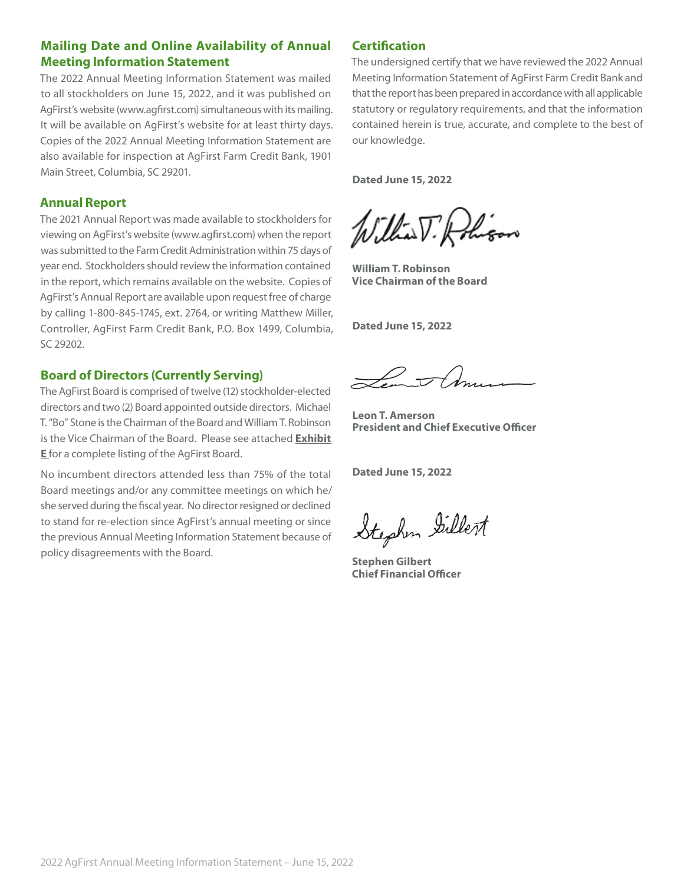### **Mailing Date and Online Availability of Annual Meeting Information Statement**

The 2022 Annual Meeting Information Statement was mailed to all stockholders on June 15, 2022, and it was published on AgFirst's website [\(www.agfrst.com\)](www.agfirst.com) simultaneous with its mailing. It will be available on AgFirst's website for at least thirty days. Copies of the 2022 Annual Meeting Information Statement are also available for inspection at AgFirst Farm Credit Bank, 1901 Main Street, Columbia, SC 29201.

### **Annual Report**

 AgFirst's Annual Report are available upon request free of charge The 2021 Annual Report was made available to stockholders for viewing on AgFirst's website [\(www.agfrst.com\)](www.agfirst.com) when the report was submitted to the Farm Credit Administration within 75 days of year end. Stockholders should review the information contained in the report, which remains available on the website. Copies of by calling 1-800-845-1745, ext. 2764, or writing Matthew Miller, Controller, AgFirst Farm Credit Bank, P.O. Box 1499, Columbia, SC 29202.

### **Board of Directors (Currently Serving)**

The AgFirst Board is comprised of twelve (12) stockholder-elected directors and two (2) Board appointed outside directors. Michael T. "Bo" Stone is the Chairman of the Board and William T. Robinson is the Vice Chairman of the Board. Please see attached **Exhibit E** for a complete listing of the AgFirst Board.

No incumbent directors attended less than 75% of the total Board meetings and/or any committee meetings on which he/ she served during the fscal year. No director resigned or declined to stand for re-election since AgFirst's annual meeting or since the previous Annual Meeting Information Statement because of policy disagreements with the Board.

### **Certifcation**

The undersigned certify that we have reviewed the 2022 Annual Meeting Information Statement of AgFirst Farm Credit Bank and that the report has been prepared in accordance with all applicable statutory or regulatory requirements, and that the information contained herein is true, accurate, and complete to the best of our knowledge.

**Dated June 15, 2022** 

Willia V. Roberts

**William T. Robinson Vice Chairman of the Board** 

**Dated June 15, 2022** 

**Leon T. Amerson President and Chief Executive Officer** 

**Dated June 15, 2022** 

Stephen Gillert

**Stephen Gilbert Chief Financial Officer**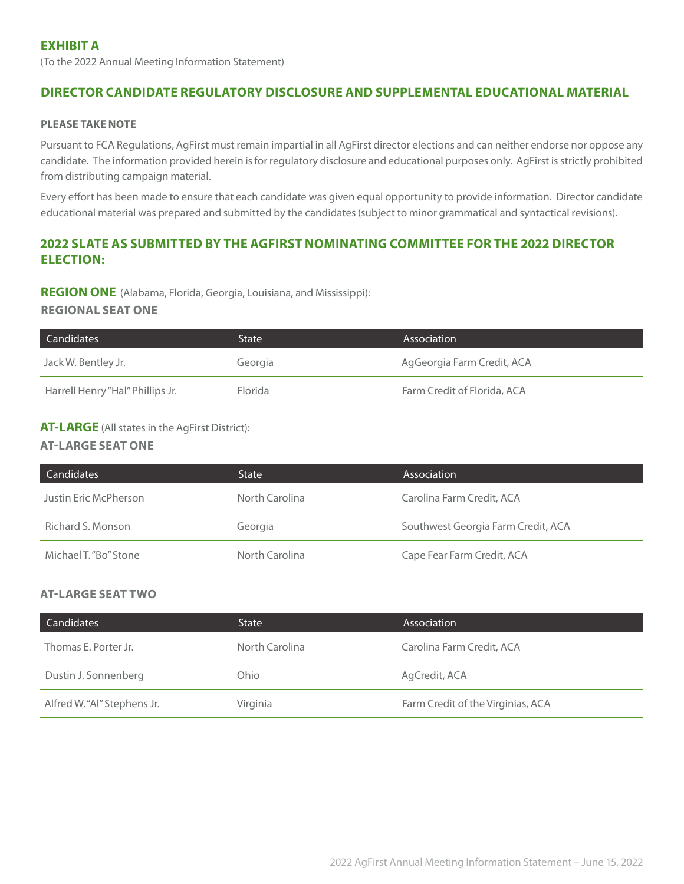(To the 2022 Annual Meeting Information Statement)

### **DIRECTOR CANDIDATE REGULATORY DISCLOSURE AND SUPPLEMENTAL EDUCATIONAL MATERIAL**

### **PLEASE TAKE NOTE**

Pursuant to FCA Regulations, AgFirst must remain impartial in all AgFirst director elections and can neither endorse nor oppose any candidate. The information provided herein is for regulatory disclosure and educational purposes only. AgFirst is strictly prohibited from distributing campaign material.

Every efort has been made to ensure that each candidate was given equal opportunity to provide information. Director candidate educational material was prepared and submitted by the candidates (subject to minor grammatical and syntactical revisions).

### **2022 SLATE AS SUBMITTED BY THE AGFIRST NOMINATING COMMITTEE FOR THE 2022 DIRECTOR ELECTION:**

**REGION ONE** (Alabama, Florida, Georgia, Louisiana, and Mississippi): **REGIONAL SEAT ONE** 

| <b>Candidates</b>                | State   | Association                 |
|----------------------------------|---------|-----------------------------|
| Jack W. Bentley Jr.              | Georgia | AgGeorgia Farm Credit, ACA  |
| Harrell Henry "Hal" Phillips Jr. | Florida | Farm Credit of Florida, ACA |

### **AT-LARGE** (All states in the AgFirst District):

### **AT-LARGE SEAT ONE**

| <b>Candidates</b>     | <b>State</b>   | Association                        |
|-----------------------|----------------|------------------------------------|
| Justin Eric McPherson | North Carolina | Carolina Farm Credit, ACA          |
| Richard S. Monson     | Georgia        | Southwest Georgia Farm Credit, ACA |
| Michael T. "Bo" Stone | North Carolina | Cape Fear Farm Credit, ACA         |

### **AT-LARGE SEAT TWO**

| Candidates<br><b>State</b>  |                | Association                       |  |  |
|-----------------------------|----------------|-----------------------------------|--|--|
| Thomas E. Porter Jr.        | North Carolina | Carolina Farm Credit, ACA         |  |  |
| Dustin J. Sonnenberg        | Ohio           | AgCredit, ACA                     |  |  |
| Alfred W. "Al" Stephens Jr. | Virginia       | Farm Credit of the Virginias, ACA |  |  |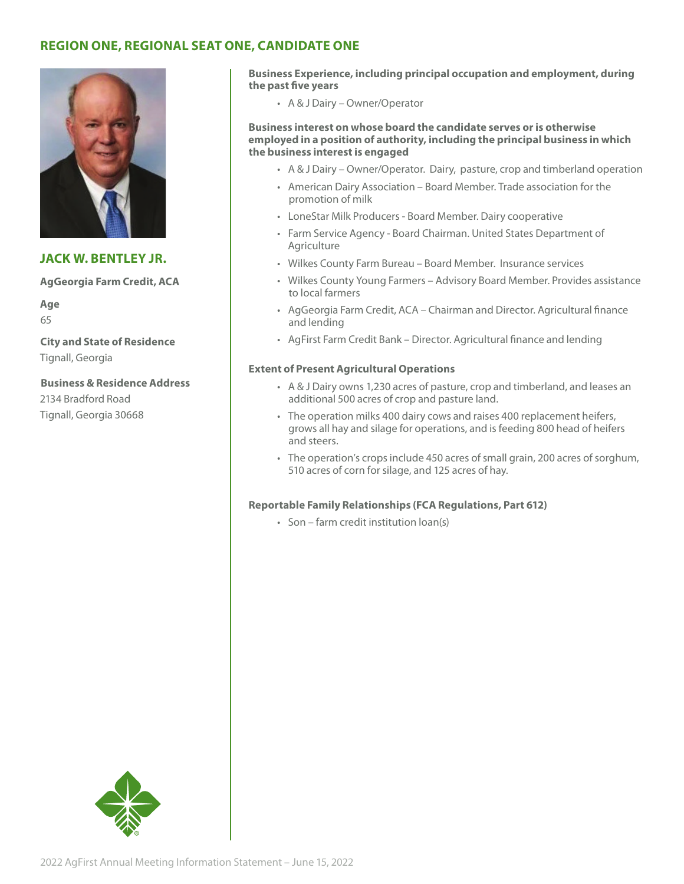### **REGION ONE, REGIONAL SEAT ONE, CANDIDATE ONE**



**JACK W. BENTLEY JR.** 

**AgGeorgia Farm Credit, ACA** 

**Age**  65

**City and State of Residence**  Tignall, Georgia

### **Business & Residence Address**  2134 Bradford Road

Tignall, Georgia 30668

**Business Experience, including principal occupation and employment, during the past fve years** 

• A & J Dairy – Owner/Operator

### **Business interest on whose board the candidate serves or is otherwise employed in a position of authority, including the principal business in which the business interest is engaged**

- A & J Dairy Owner/Operator. Dairy, pasture, crop and timberland operation
- American Dairy Association Board Member. Trade association for the promotion of milk
- LoneStar Milk Producers Board Member. Dairy cooperative
- Farm Service Agency Board Chairman. United States Department of Agriculture
- Wilkes County Farm Bureau Board Member. Insurance services
- Wilkes County Young Farmers Advisory Board Member. Provides assistance to local farmers
- AgGeorgia Farm Credit, ACA Chairman and Director. Agricultural fnance and lending
- AgFirst Farm Credit Bank Director. Agricultural fnance and lending

### **Extent of Present Agricultural Operations**

- A & J Dairy owns 1,230 acres of pasture, crop and timberland, and leases an additional 500 acres of crop and pasture land.
- The operation milks 400 dairy cows and raises 400 replacement heifers, grows all hay and silage for operations, and is feeding 800 head of heifers and steers.
- The operation's crops include 450 acres of small grain, 200 acres of sorghum, 510 acres of corn for silage, and 125 acres of hay.

### **Reportable Family Relationships (FCA Regulations, Part 612)**

• Son – farm credit institution loan(s)

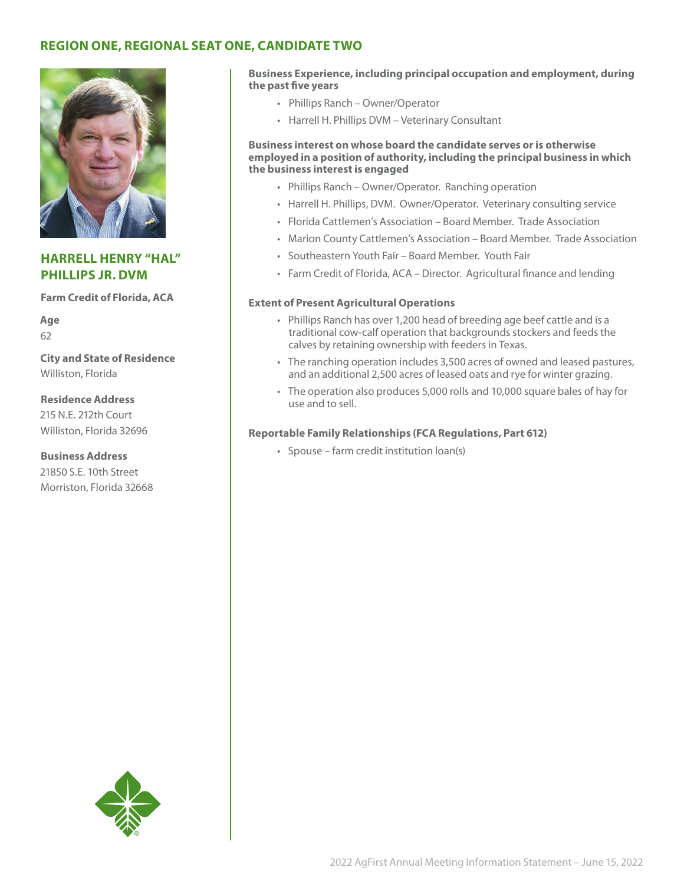### **REGION ONE, REGIONAL SEAT ONE, CANDIDATE TWO**



### **HARRELL HENRY "HAL" PHILLIPS JR. DVM**

**Farm Credit of Florida, ACA** 

**Age**  62

**City and State of Residence**  Williston, Florida

**Residence Address**  215 N.E. 212th Court Williston, Florida 32696

**Business Address**  21850 S.E. 10th Street Morriston, Florida 32668 **Business Experience, including principal occupation and employment, during the past fve years** 

- Phillips Ranch Owner/Operator
- Harrell H. Phillips DVM Veterinary Consultant

### **Business interest on whose board the candidate serves or is otherwise employed in a position of authority, including the principal business in which the business interest is engaged**

- Phillips Ranch Owner/Operator. Ranching operation
- Harrell H. Phillips, DVM. Owner/Operator. Veterinary consulting service
- Florida Cattlemen's Association Board Member. Trade Association
- Marion County Cattlemen's Association Board Member. Trade Association
- Southeastern Youth Fair Board Member. Youth Fair
- Farm Credit of Florida, ACA Director. Agricultural fnance and lending

### **Extent of Present Agricultural Operations**

- calves by retaining ownership with feeders in Texas. • Phillips Ranch has over 1,200 head of breeding age beef cattle and is a traditional cow-calf operation that backgrounds stockers and feeds the
- The ranching operation includes 3,500 acres of owned and leased pastures, and an additional 2,500 acres of leased oats and rye for winter grazing.
- The operation also produces 5,000 rolls and 10,000 square bales of hay for use and to sell.

### **Reportable Family Relationships (FCA Regulations, Part 612)**

• Spouse – farm credit institution loan(s)

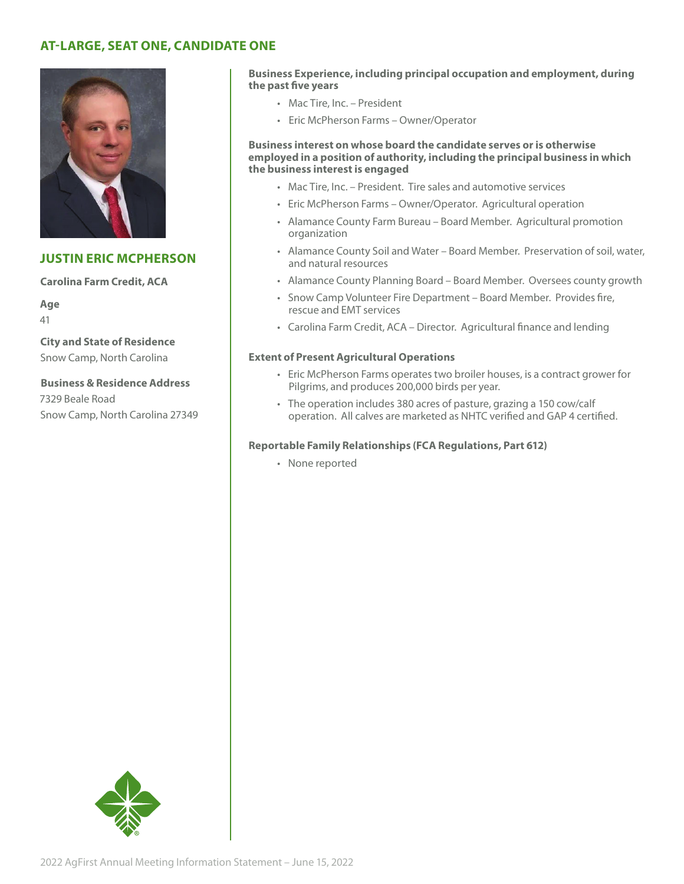### **AT-LARGE, SEAT ONE, CANDIDATE ONE**



### **JUSTIN ERIC MCPHERSON**

**Carolina Farm Credit, ACA** 

**Age**  41

**City and State of Residence**  Snow Camp, North Carolina

### **Business & Residence Address**  7329 Beale Road Snow Camp, North Carolina 27349

### **Business Experience, including principal occupation and employment, during the past fve years**

- Mac Tire, Inc. President
- Eric McPherson Farms Owner/Operator

### **Business interest on whose board the candidate serves or is otherwise employed in a position of authority, including the principal business in which the business interest is engaged**

- Mac Tire, Inc. President. Tire sales and automotive services
- Eric McPherson Farms Owner/Operator. Agricultural operation
- Alamance County Farm Bureau Board Member. Agricultural promotion organization
- Alamance County Soil and Water Board Member. Preservation of soil, water, and natural resources
- Alamance County Planning Board Board Member. Oversees county growth
- Snow Camp Volunteer Fire Department Board Member. Provides fre, rescue and EMT services
- Carolina Farm Credit, ACA Director. Agricultural fnance and lending

### **Extent of Present Agricultural Operations**

- Eric McPherson Farms operates two broiler houses, is a contract grower for Pilgrims, and produces 200,000 birds per year.
- The operation includes 380 acres of pasture, grazing a 150 cow/calf operation. All calves are marketed as NHTC verifed and GAP 4 certifed.

### **Reportable Family Relationships (FCA Regulations, Part 612)**

• None reported

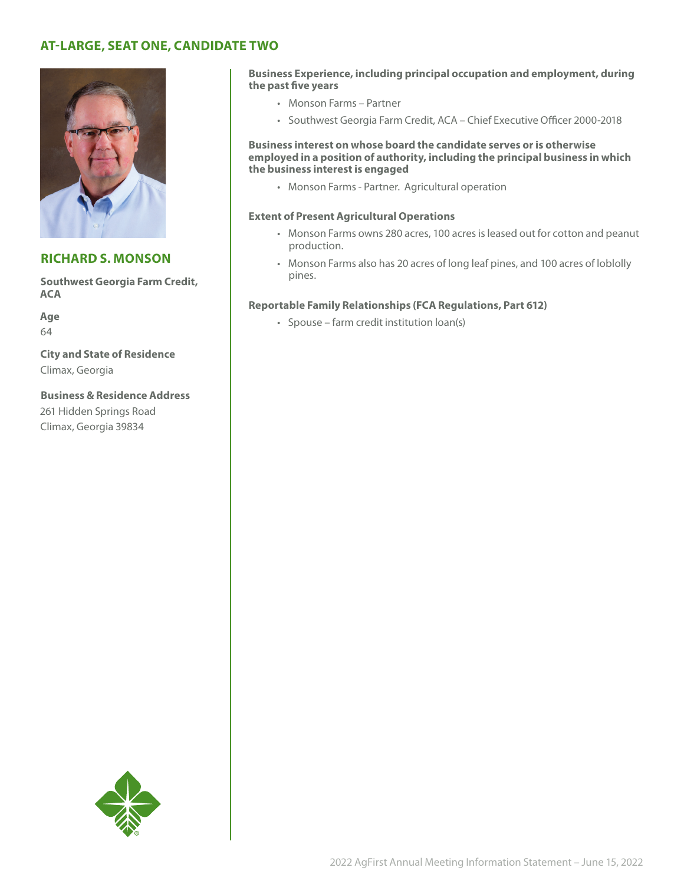### **AT-LARGE, SEAT ONE, CANDIDATE TWO**



### **RICHARD S. MONSON**

**Southwest Georgia Farm Credit, ACA** 

**Age**  64

**City and State of Residence**  Climax, Georgia

**Business & Residence Address**  261 Hidden Springs Road Climax, Georgia 39834

**Business Experience, including principal occupation and employment, during the past fve years** 

- Monson Farms Partner
- Southwest Georgia Farm Credit, ACA Chief Executive Officer 2000-2018

### **Business interest on whose board the candidate serves or is otherwise employed in a position of authority, including the principal business in which the business interest is engaged**

• Monson Farms - Partner. Agricultural operation

### **Extent of Present Agricultural Operations**

- production. • Monson Farms owns 280 acres, 100 acres is leased out for cotton and peanut
- Monson Farms also has 20 acres of long leaf pines, and 100 acres of loblolly pines.

### **Reportable Family Relationships (FCA Regulations, Part 612)**

• Spouse – farm credit institution loan(s)

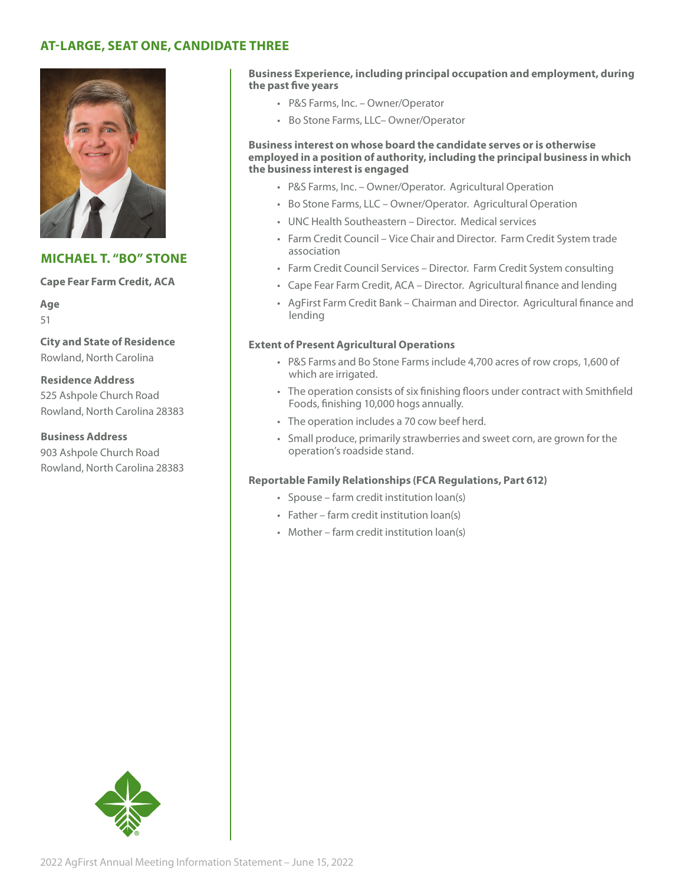### **AT-LARGE, SEAT ONE, CANDIDATE THREE**



### **MICHAEL T. "BO" STONE**

**Cape Fear Farm Credit, ACA** 

**Age**  51

**City and State of Residence**  Rowland, North Carolina

### **Residence Address**

525 Ashpole Church Road Rowland, North Carolina 28383

**Business Address** 

903 Ashpole Church Road Rowland, North Carolina 28383



- P&S Farms, Inc. Owner/Operator
- Bo Stone Farms, LLC– Owner/Operator

### **Business interest on whose board the candidate serves or is otherwise employed in a position of authority, including the principal business in which the business interest is engaged**

- P&S Farms, Inc. Owner/Operator. Agricultural Operation
- Bo Stone Farms, LLC Owner/Operator. Agricultural Operation
- UNC Health Southeastern Director. Medical services
- Farm Credit Council Vice Chair and Director. Farm Credit System trade association
- Farm Credit Council Services Director. Farm Credit System consulting
- Cape Fear Farm Credit, ACA Director. Agricultural fnance and lending
- AgFirst Farm Credit Bank Chairman and Director. Agricultural fnance and lending

### **Extent of Present Agricultural Operations**

- P&S Farms and Bo Stone Farms include 4,700 acres of row crops, 1,600 of which are irrigated.
- The operation consists of six finishing floors under contract with Smithfield Foods, fnishing 10,000 hogs annually.
- The operation includes a 70 cow beef herd.
- Small produce, primarily strawberries and sweet corn, are grown for the operation's roadside stand.

- Spouse farm credit institution loan(s)
- Father farm credit institution loan(s)
- Mother farm credit institution loan(s)

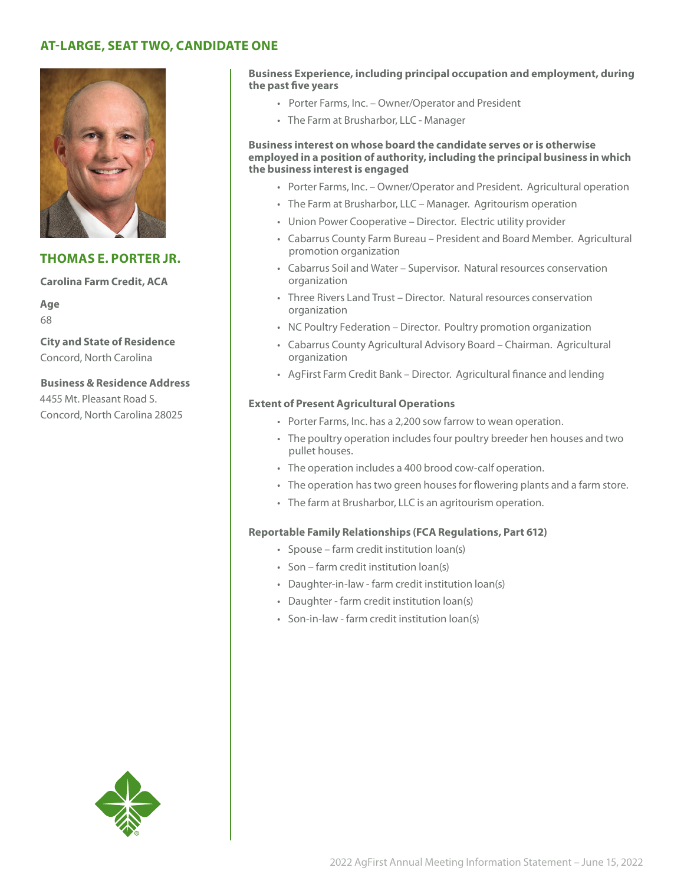### **AT-LARGE, SEAT TWO, CANDIDATE ONE**



### **THOMAS E. PORTER JR.**

**Carolina Farm Credit, ACA** 

**Age**  68

**City and State of Residence**  Concord, North Carolina

### **Business & Residence Address**

4455 Mt. Pleasant Road S. Concord, North Carolina 28025

### **Business Experience, including principal occupation and employment, during the past fve years**

- Porter Farms, Inc. Owner/Operator and President
- The Farm at Brusharbor, LLC Manager

### **Business interest on whose board the candidate serves or is otherwise employed in a position of authority, including the principal business in which the business interest is engaged**

- Porter Farms, Inc. Owner/Operator and President. Agricultural operation
- The Farm at Brusharbor, LLC Manager. Agritourism operation
- Union Power Cooperative Director. Electric utility provider
- Cabarrus County Farm Bureau President and Board Member. Agricultural promotion organization
- Cabarrus Soil and Water Supervisor. Natural resources conservation organization
- Three Rivers Land Trust Director. Natural resources conservation organization
- NC Poultry Federation Director. Poultry promotion organization
- Cabarrus County Agricultural Advisory Board Chairman. Agricultural organization
- AgFirst Farm Credit Bank Director. Agricultural fnance and lending

### **Extent of Present Agricultural Operations**

- Porter Farms, Inc. has a 2,200 sow farrow to wean operation.
- The poultry operation includes four poultry breeder hen houses and two pullet houses.
- The operation includes a 400 brood cow-calf operation.
- The operation has two green houses for flowering plants and a farm store.
- The farm at Brusharbor, LLC is an agritourism operation.

- Spouse farm credit institution loan(s)
	- Son farm credit institution loan(s)
	- Daughter-in-law farm credit institution loan(s)
	- Daughter farm credit institution loan(s)
	- Son-in-law farm credit institution loan(s)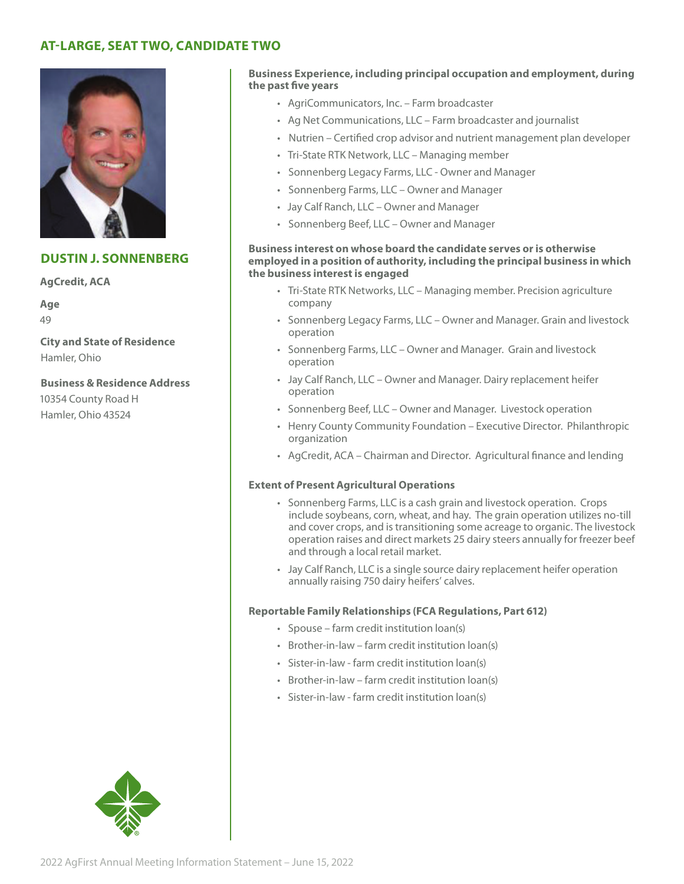### **AT-LARGE, SEAT TWO, CANDIDATE TWO**



### **DUSTIN J. SONNENBERG**

**AgCredit, ACA** 

**Age**  49

**City and State of Residence**  Hamler, Ohio

### **Business & Residence Address**

10354 County Road H Hamler, Ohio 43524

# 2022 AgFirst Annual Meeting Information Statement – June 15, 2022

**Business Experience, including principal occupation and employment, during the past fve years** 

- AgriCommunicators, Inc. Farm broadcaster
- Ag Net Communications, LLC Farm broadcaster and journalist
- Nutrien Certifed crop advisor and nutrient management plan developer
- Tri-State RTK Network, LLC Managing member
- Sonnenberg Legacy Farms, LLC Owner and Manager
- Sonnenberg Farms, LLC Owner and Manager
- Jay Calf Ranch, LLC Owner and Manager
- Sonnenberg Beef, LLC Owner and Manager

### **Business interest on whose board the candidate serves or is otherwise employed in a position of authority, including the principal business in which the business interest is engaged**

- Tri-State RTK Networks, LLC Managing member. Precision agriculture company
- Sonnenberg Legacy Farms, LLC Owner and Manager. Grain and livestock operation
- Sonnenberg Farms, LLC Owner and Manager. Grain and livestock operation
- Jay Calf Ranch, LLC Owner and Manager. Dairy replacement heifer operation
- Sonnenberg Beef, LLC Owner and Manager. Livestock operation
- Henry County Community Foundation Executive Director. Philanthropic organization
- AgCredit, ACA Chairman and Director. Agricultural fnance and lending

### **Extent of Present Agricultural Operations**

- Sonnenberg Farms, LLC is a cash grain and livestock operation. Crops include soybeans, corn, wheat, and hay. The grain operation utilizes no-till and cover crops, and is transitioning some acreage to organic. The livestock operation raises and direct markets 25 dairy steers annually for freezer beef and through a local retail market.
- Jay Calf Ranch, LLC is a single source dairy replacement heifer operation annually raising 750 dairy heifers' calves.

- Spouse farm credit institution loan(s)
- Brother-in-law farm credit institution loan(s)
- Sister-in-law farm credit institution loan(s)
- Brother-in-law farm credit institution loan(s)
- Sister-in-law farm credit institution loan(s)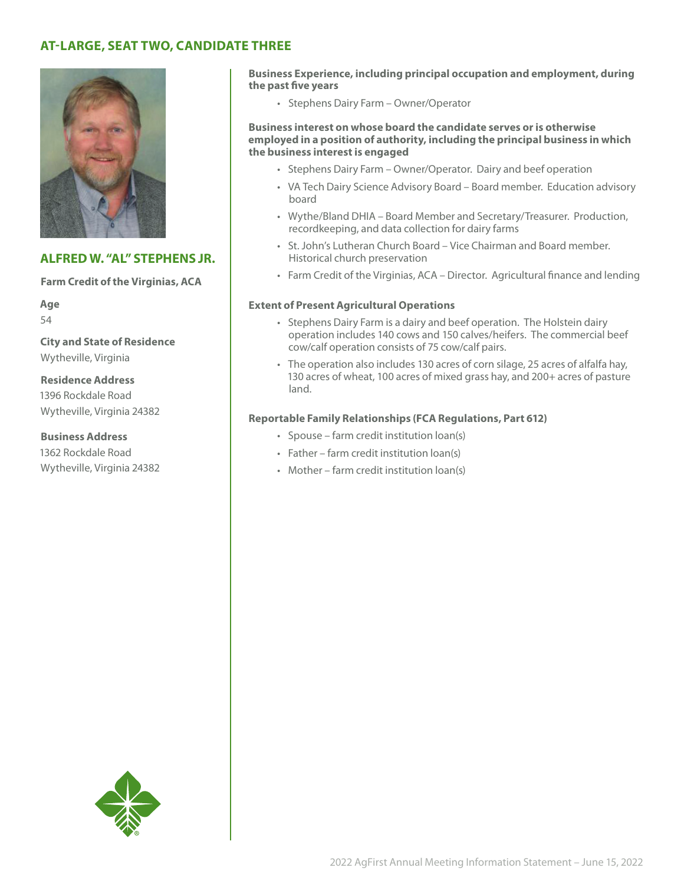### **AT-LARGE, SEAT TWO, CANDIDATE THREE**



### **ALFRED W. "AL" STEPHENS JR.**

**Farm Credit of the Virginias, ACA** 

**Age**  54

**City and State of Residence**  Wytheville, Virginia

### **Residence Address**  1396 Rockdale Road Wytheville, Virginia 24382

**Business Address**  1362 Rockdale Road Wytheville, Virginia 24382 **Business Experience, including principal occupation and employment, during the past fve years** 

• Stephens Dairy Farm – Owner/Operator

### **Business interest on whose board the candidate serves or is otherwise employed in a position of authority, including the principal business in which the business interest is engaged**

- Stephens Dairy Farm Owner/Operator. Dairy and beef operation
- VA Tech Dairy Science Advisory Board Board member. Education advisory board
- Wythe/Bland DHIA Board Member and Secretary/Treasurer. Production, recordkeeping, and data collection for dairy farms
- St. John's Lutheran Church Board Vice Chairman and Board member. Historical church preservation
- Farm Credit of the Virginias, ACA Director. Agricultural fnance and lending

### **Extent of Present Agricultural Operations**

- Stephens Dairy Farm is a dairy and beef operation. The Holstein dairy operation includes 140 cows and 150 calves/heifers. The commercial beef cow/calf operation consists of 75 cow/calf pairs.
- The operation also includes 130 acres of corn silage, 25 acres of alfalfa hay, 130 acres of wheat, 100 acres of mixed grass hay, and 200+ acres of pasture land.

- Spouse farm credit institution loan(s)
- Father farm credit institution loan(s)
- Mother farm credit institution loan(s)

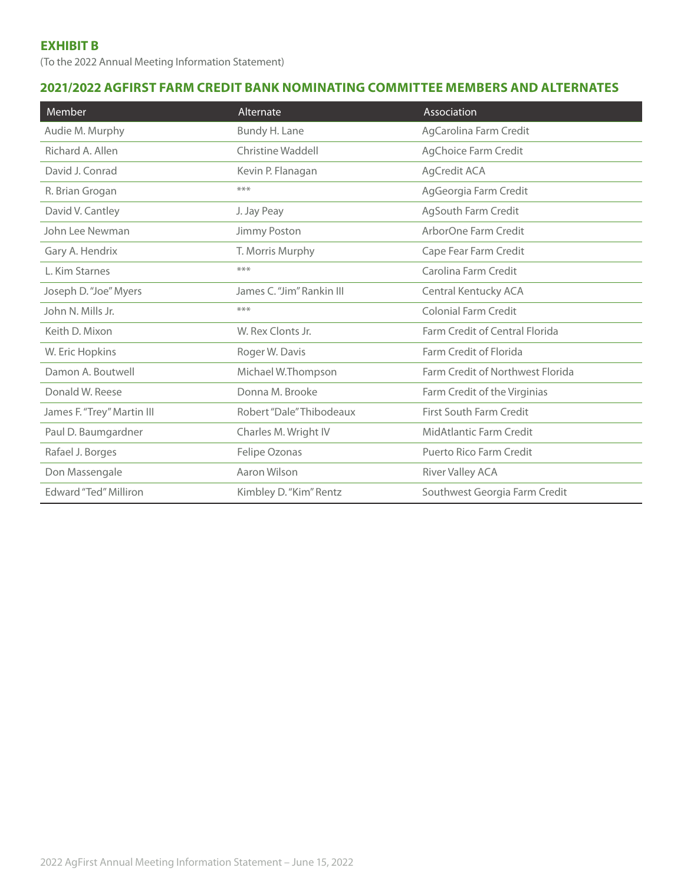### **EXHIBIT B**

(To the 2022 Annual Meeting Information Statement)

### **2021/2022 AGFIRST FARM CREDIT BANK NOMINATING COMMITTEE MEMBERS AND ALTERNATES**

| Member                     | Alternate                 | Association                      |
|----------------------------|---------------------------|----------------------------------|
| Audie M. Murphy            | Bundy H. Lane             | AgCarolina Farm Credit           |
| Richard A. Allen           | Christine Waddell         | AgChoice Farm Credit             |
| David J. Conrad            | Kevin P. Flanagan         | AgCredit ACA                     |
| R. Brian Grogan            | ***                       | AgGeorgia Farm Credit            |
| David V. Cantley           | J. Jay Peay               | AgSouth Farm Credit              |
| John Lee Newman            | Jimmy Poston              | ArborOne Farm Credit             |
| Gary A. Hendrix            | T. Morris Murphy          | Cape Fear Farm Credit            |
| L. Kim Starnes             | ***                       | Carolina Farm Credit             |
| Joseph D. "Joe" Myers      | James C. "Jim" Rankin III | Central Kentucky ACA             |
| John N. Mills Jr.          | ***                       | <b>Colonial Farm Credit</b>      |
| Keith D. Mixon             | W. Rex Clonts Jr.         | Farm Credit of Central Florida   |
| W. Eric Hopkins            | Roger W. Davis            | Farm Credit of Florida           |
| Damon A. Boutwell          | Michael W.Thompson        | Farm Credit of Northwest Florida |
| Donald W. Reese            | Donna M. Brooke           | Farm Credit of the Virginias     |
| James F. "Trey" Martin III | Robert "Dale" Thibodeaux  | <b>First South Farm Credit</b>   |
| Paul D. Baumgardner        | Charles M. Wright IV      | MidAtlantic Farm Credit          |
| Rafael J. Borges           | Felipe Ozonas             | Puerto Rico Farm Credit          |
| Don Massengale             | Aaron Wilson              | River Valley ACA                 |
| Edward "Ted" Milliron      | Kimbley D. "Kim" Rentz    | Southwest Georgia Farm Credit    |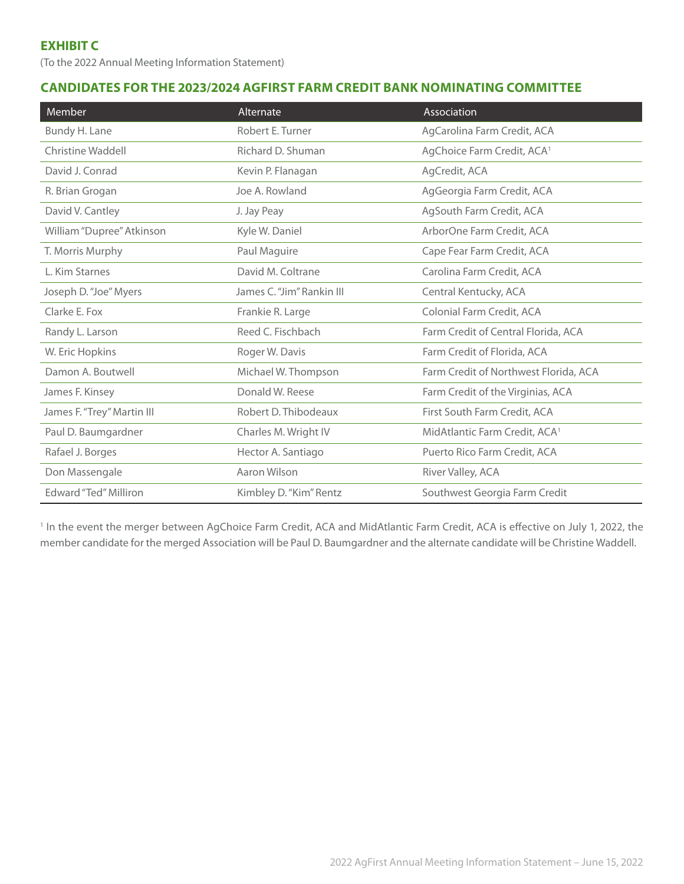### **EXHIBIT C**

(To the 2022 Annual Meeting Information Statement)

### **CANDIDATES FOR THE 2023/2024 AGFIRST FARM CREDIT BANK NOMINATING COMMITTEE**

| Member                     | Alternate                 | Association                               |
|----------------------------|---------------------------|-------------------------------------------|
| Bundy H. Lane              | Robert E. Turner          | AgCarolina Farm Credit, ACA               |
| Christine Waddell          | Richard D. Shuman         | AgChoice Farm Credit, ACA <sup>1</sup>    |
| David J. Conrad            | Kevin P. Flanagan         | AgCredit, ACA                             |
| R. Brian Grogan            | Joe A. Rowland            | AgGeorgia Farm Credit, ACA                |
| David V. Cantley           | J. Jay Peay               | AgSouth Farm Credit, ACA                  |
| William "Dupree" Atkinson  | Kyle W. Daniel            | ArborOne Farm Credit, ACA                 |
| T. Morris Murphy           | Paul Maguire              | Cape Fear Farm Credit, ACA                |
| L. Kim Starnes             | David M. Coltrane         | Carolina Farm Credit, ACA                 |
| Joseph D. "Joe" Myers      | James C. "Jim" Rankin III | Central Kentucky, ACA                     |
| Clarke E. Fox              | Frankie R. Large          | Colonial Farm Credit, ACA                 |
| Randy L. Larson            | Reed C. Fischbach         | Farm Credit of Central Florida, ACA       |
| W. Eric Hopkins            | Roger W. Davis            | Farm Credit of Florida, ACA               |
| Damon A. Boutwell          | Michael W. Thompson       | Farm Credit of Northwest Florida, ACA     |
| James F. Kinsey            | Donald W. Reese           | Farm Credit of the Virginias, ACA         |
| James F. "Trey" Martin III | Robert D. Thibodeaux      | First South Farm Credit, ACA              |
| Paul D. Baumgardner        | Charles M. Wright IV      | MidAtlantic Farm Credit, ACA <sup>1</sup> |
| Rafael J. Borges           | Hector A. Santiago        | Puerto Rico Farm Credit, ACA              |
| Don Massengale             | Aaron Wilson              | River Valley, ACA                         |
| Edward "Ted" Milliron      | Kimbley D. "Kim" Rentz    | Southwest Georgia Farm Credit             |

<sup>1</sup> In the event the merger between AgChoice Farm Credit, ACA and MidAtlantic Farm Credit, ACA is effective on July 1, 2022, the member candidate for the merged Association will be Paul D. Baumgardner and the alternate candidate will be Christine Waddell.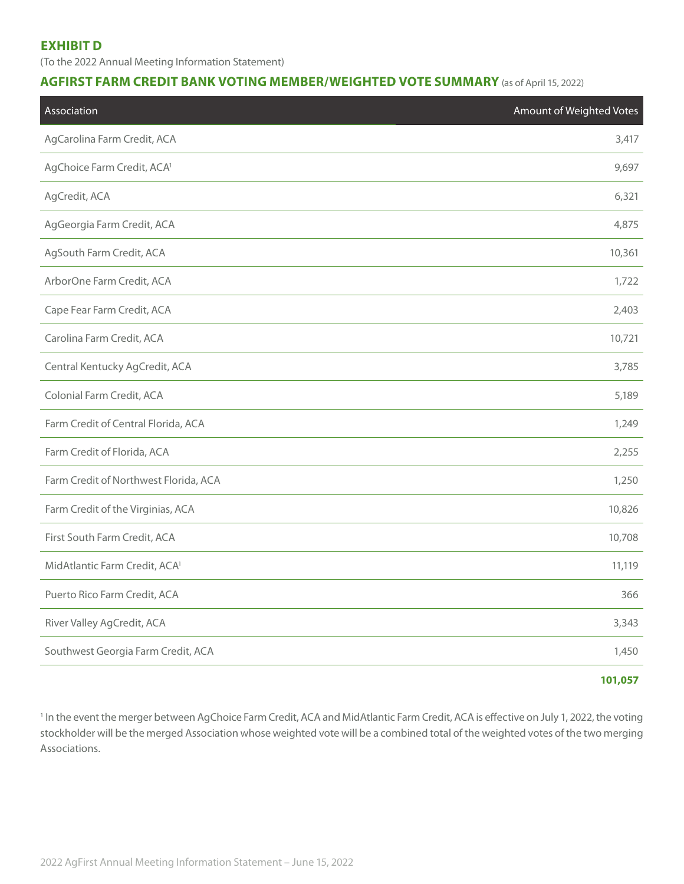(To the 2022 Annual Meeting Information Statement)

### **AGFIRST FARM CREDIT BANK VOTING MEMBER/WEIGHTED VOTE SUMMARY** (as of April 15, 2022)

| Association                               | Amount of Weighted Votes |
|-------------------------------------------|--------------------------|
| AgCarolina Farm Credit, ACA               | 3,417                    |
| AgChoice Farm Credit, ACA <sup>1</sup>    | 9,697                    |
| AgCredit, ACA                             | 6,321                    |
| AgGeorgia Farm Credit, ACA                | 4,875                    |
| AgSouth Farm Credit, ACA                  | 10,361                   |
| ArborOne Farm Credit, ACA                 | 1,722                    |
| Cape Fear Farm Credit, ACA                | 2,403                    |
| Carolina Farm Credit, ACA                 | 10,721                   |
| Central Kentucky AgCredit, ACA            | 3,785                    |
| Colonial Farm Credit, ACA                 | 5,189                    |
| Farm Credit of Central Florida, ACA       | 1,249                    |
| Farm Credit of Florida, ACA               | 2,255                    |
| Farm Credit of Northwest Florida, ACA     | 1,250                    |
| Farm Credit of the Virginias, ACA         | 10,826                   |
| First South Farm Credit, ACA              | 10,708                   |
| MidAtlantic Farm Credit, ACA <sup>1</sup> | 11,119                   |
| Puerto Rico Farm Credit, ACA              | 366                      |
| River Valley AgCredit, ACA                | 3,343                    |
| Southwest Georgia Farm Credit, ACA        | 1,450                    |
|                                           |                          |

**101,057** 

<sup>1</sup> In the event the merger between AgChoice Farm Credit, ACA and MidAtlantic Farm Credit, ACA is effective on July 1, 2022, the voting stockholder will be the merged Association whose weighted vote will be a combined total of the weighted votes of the two merging Associations.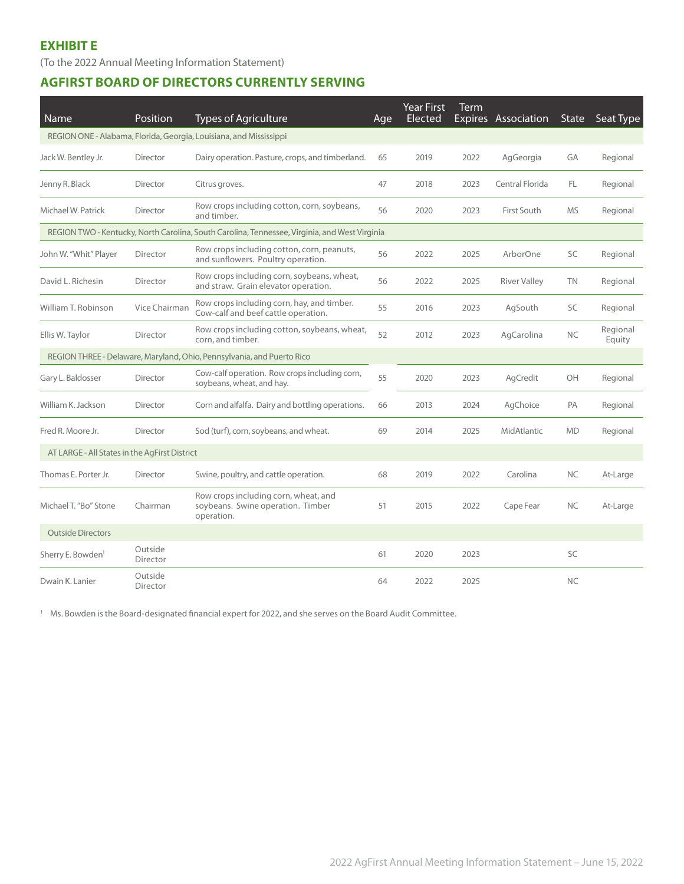(To the 2022 Annual Meeting Information Statement)

### **AGFIRST BOARD OF DIRECTORS CURRENTLY SERVING**

| Name                                          | Position            | <b>Types of Agriculture</b>                                                                   | Age | Year First<br>Elected | Term | <b>Expires Association</b> | <b>State</b> | Seat Type          |
|-----------------------------------------------|---------------------|-----------------------------------------------------------------------------------------------|-----|-----------------------|------|----------------------------|--------------|--------------------|
|                                               |                     | REGION ONE - Alabama, Florida, Georgia, Louisiana, and Mississippi                            |     |                       |      |                            |              |                    |
| Jack W. Bentley Jr.                           | Director            | Dairy operation. Pasture, crops, and timberland.                                              | 65  | 2019                  | 2022 | AgGeorgia                  | GA           | Regional           |
| Jenny R. Black                                | Director            | Citrus groves.                                                                                | 47  | 2018                  | 2023 | Central Florida            | FL.          | Regional           |
| Michael W. Patrick                            | Director            | Row crops including cotton, corn, soybeans,<br>and timber.                                    | 56  | 2020                  | 2023 | First South                | <b>MS</b>    | Regional           |
|                                               |                     | REGION TWO - Kentucky, North Carolina, South Carolina, Tennessee, Virginia, and West Virginia |     |                       |      |                            |              |                    |
| John W. "Whit" Player                         | Director            | Row crops including cotton, corn, peanuts,<br>and sunflowers. Poultry operation.              | 56  | 2022                  | 2025 | ArborOne                   | SC           | Regional           |
| David L. Richesin                             | Director            | Row crops including corn, soybeans, wheat,<br>and straw. Grain elevator operation.            | 56  | 2022                  | 2025 | <b>River Valley</b>        | <b>TN</b>    | Regional           |
| William T. Robinson                           | Vice Chairman       | Row crops including corn, hay, and timber.<br>Cow-calf and beef cattle operation.             | 55  | 2016                  | 2023 | AgSouth                    | SC           | Regional           |
| Ellis W. Taylor                               | Director            | Row crops including cotton, soybeans, wheat,<br>corn, and timber.                             | 52  | 2012                  | 2023 | AgCarolina                 | <b>NC</b>    | Regional<br>Equity |
|                                               |                     | REGION THREE - Delaware, Maryland, Ohio, Pennsylvania, and Puerto Rico                        |     |                       |      |                            |              |                    |
| Gary L. Baldosser                             | Director            | Cow-calf operation. Row crops including corn,<br>soybeans, wheat, and hay.                    | 55  | 2020                  | 2023 | AgCredit                   | OH           | Regional           |
| William K. Jackson                            | Director            | Corn and alfalfa. Dairy and bottling operations.                                              | 66  | 2013                  | 2024 | AgChoice                   | PA           | Regional           |
| Fred R. Moore Jr.                             | Director            | Sod (turf), corn, soybeans, and wheat.                                                        | 69  | 2014                  | 2025 | MidAtlantic                | <b>MD</b>    | Regional           |
| AT LARGE - All States in the AgFirst District |                     |                                                                                               |     |                       |      |                            |              |                    |
| Thomas E. Porter Jr.                          | Director            | Swine, poultry, and cattle operation.                                                         | 68  | 2019                  | 2022 | Carolina                   | <b>NC</b>    | At-Large           |
| Michael T. "Bo" Stone                         | Chairman            | Row crops including corn, wheat, and<br>soybeans. Swine operation. Timber<br>operation.       | 51  | 2015                  | 2022 | Cape Fear                  | <b>NC</b>    | At-Large           |
| <b>Outside Directors</b>                      |                     |                                                                                               |     |                       |      |                            |              |                    |
| Sherry E. Bowden <sup>1</sup>                 | Outside<br>Director |                                                                                               | 61  | 2020                  | 2023 |                            | SC           |                    |
| Dwain K. Lanier                               | Outside<br>Director |                                                                                               | 64  | 2022                  | 2025 |                            | <b>NC</b>    |                    |

<sup>1</sup> Ms. Bowden is the Board-designated financial expert for 2022, and she serves on the Board Audit Committee.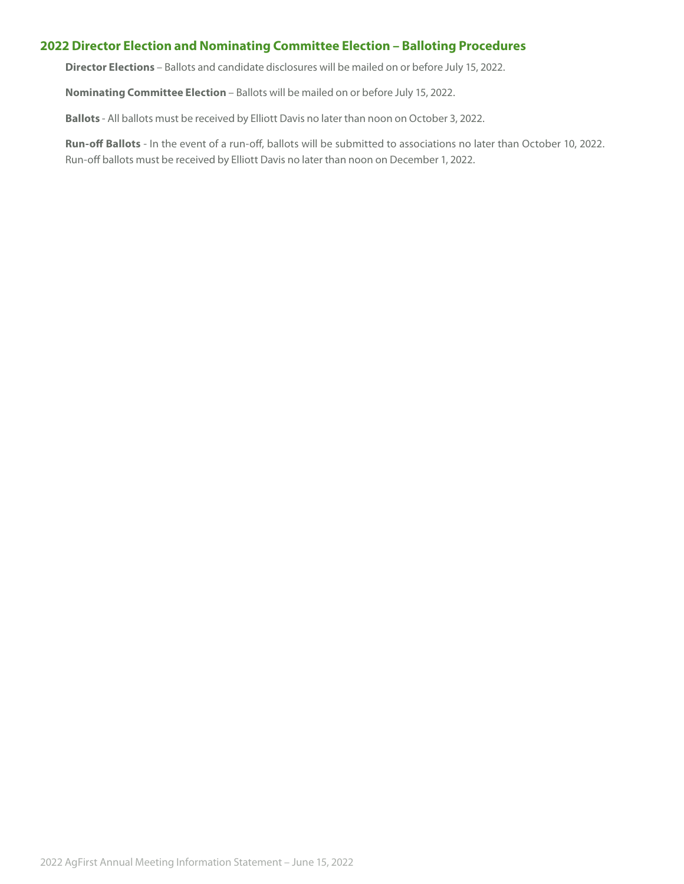### **2022 Director Election and Nominating Committee Election – Balloting Procedures**

**Director Elections** – Ballots and candidate disclosures will be mailed on or before July 15, 2022.

**Nominating Committee Election** – Ballots will be mailed on or before July 15, 2022.

**Ballots** - All ballots must be received by Elliott Davis no later than noon on October 3, 2022.

Run-off Ballots - In the event of a run-off, ballots will be submitted to associations no later than October 10, 2022. Run-off ballots must be received by Elliott Davis no later than noon on December 1, 2022.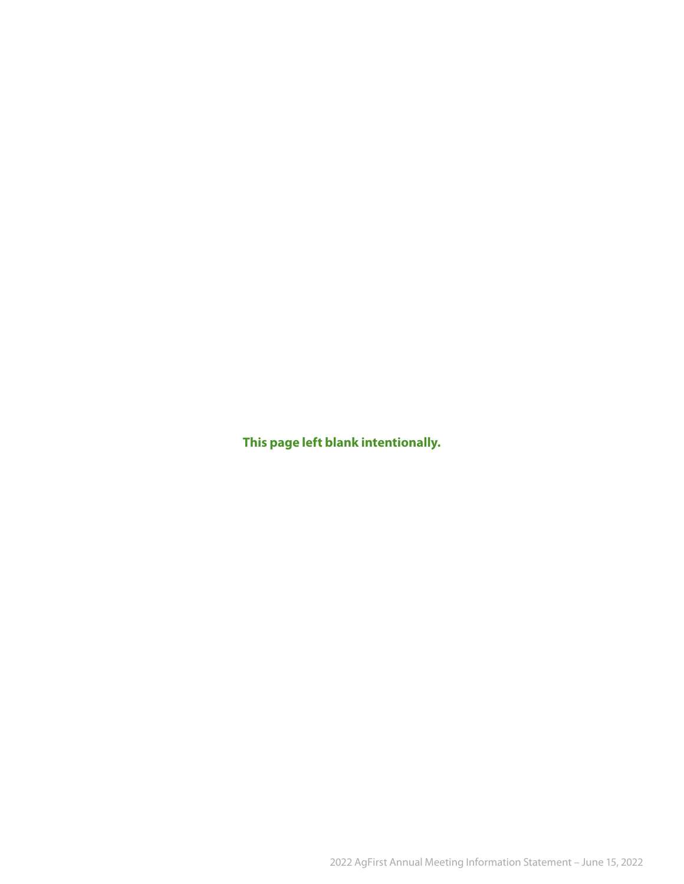**This page left blank intentionally.**